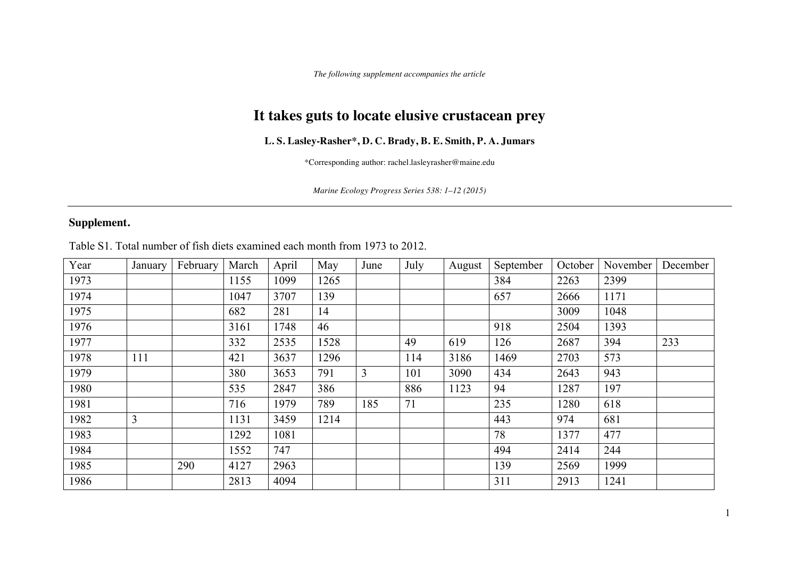*The following supplement accompanies the article*

## **It takes guts to locate elusive crustacean prey**

## **L. S. Lasley-Rasher\*, D. C. Brady, B. E. Smith, P. A. Jumars**

\*Corresponding author: rachel.lasleyrasher@maine.edu

*Marine Ecology Progress Series 538: 1–12 (2015)*

## **Supplement.**

Table S1. Total number of fish diets examined each month from 1973 to 2012.

| Year | January | February | March | April | May  | June | July | August | September | October | November | December |
|------|---------|----------|-------|-------|------|------|------|--------|-----------|---------|----------|----------|
| 1973 |         |          | 1155  | 1099  | 1265 |      |      |        | 384       | 2263    | 2399     |          |
| 1974 |         |          | 1047  | 3707  | 139  |      |      |        | 657       | 2666    | 1171     |          |
| 1975 |         |          | 682   | 281   | 14   |      |      |        |           | 3009    | 1048     |          |
| 1976 |         |          | 3161  | 1748  | 46   |      |      |        | 918       | 2504    | 1393     |          |
| 1977 |         |          | 332   | 2535  | 1528 |      | 49   | 619    | 126       | 2687    | 394      | 233      |
| 1978 | 111     |          | 421   | 3637  | 1296 |      | 114  | 3186   | 1469      | 2703    | 573      |          |
| 1979 |         |          | 380   | 3653  | 791  | 3    | 101  | 3090   | 434       | 2643    | 943      |          |
| 1980 |         |          | 535   | 2847  | 386  |      | 886  | 1123   | 94        | 1287    | 197      |          |
| 1981 |         |          | 716   | 1979  | 789  | 185  | 71   |        | 235       | 1280    | 618      |          |
| 1982 | 3       |          | 1131  | 3459  | 1214 |      |      |        | 443       | 974     | 681      |          |
| 1983 |         |          | 1292  | 1081  |      |      |      |        | 78        | 1377    | 477      |          |
| 1984 |         |          | 1552  | 747   |      |      |      |        | 494       | 2414    | 244      |          |
| 1985 |         | 290      | 4127  | 2963  |      |      |      |        | 139       | 2569    | 1999     |          |
| 1986 |         |          | 2813  | 4094  |      |      |      |        | 311       | 2913    | 1241     |          |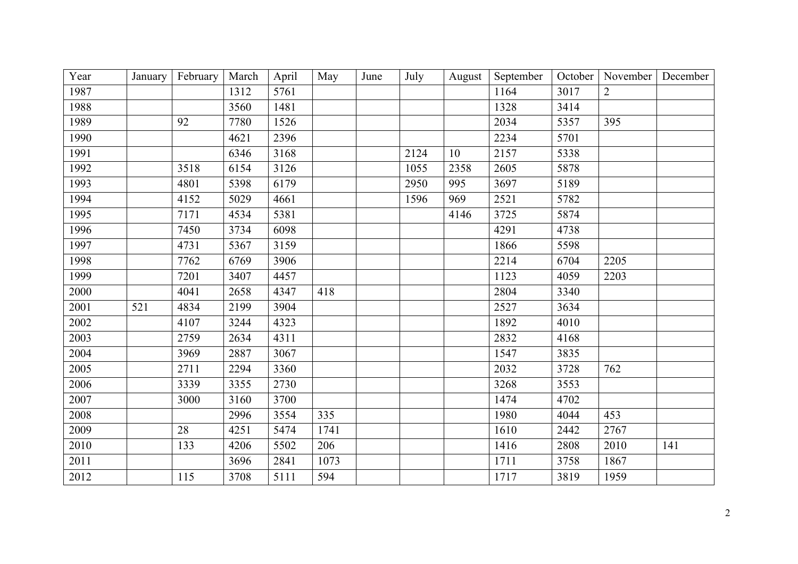| Year | January | February | March | April | May  | June | July | August | September | October | November       | December |
|------|---------|----------|-------|-------|------|------|------|--------|-----------|---------|----------------|----------|
| 1987 |         |          | 1312  | 5761  |      |      |      |        | 1164      | 3017    | $\overline{2}$ |          |
| 1988 |         |          | 3560  | 1481  |      |      |      |        | 1328      | 3414    |                |          |
| 1989 |         | 92       | 7780  | 1526  |      |      |      |        | 2034      | 5357    | 395            |          |
| 1990 |         |          | 4621  | 2396  |      |      |      |        | 2234      | 5701    |                |          |
| 1991 |         |          | 6346  | 3168  |      |      | 2124 | 10     | 2157      | 5338    |                |          |
| 1992 |         | 3518     | 6154  | 3126  |      |      | 1055 | 2358   | 2605      | 5878    |                |          |
| 1993 |         | 4801     | 5398  | 6179  |      |      | 2950 | 995    | 3697      | 5189    |                |          |
| 1994 |         | 4152     | 5029  | 4661  |      |      | 1596 | 969    | 2521      | 5782    |                |          |
| 1995 |         | 7171     | 4534  | 5381  |      |      |      | 4146   | 3725      | 5874    |                |          |
| 1996 |         | 7450     | 3734  | 6098  |      |      |      |        | 4291      | 4738    |                |          |
| 1997 |         | 4731     | 5367  | 3159  |      |      |      |        | 1866      | 5598    |                |          |
| 1998 |         | 7762     | 6769  | 3906  |      |      |      |        | 2214      | 6704    | 2205           |          |
| 1999 |         | 7201     | 3407  | 4457  |      |      |      |        | 1123      | 4059    | 2203           |          |
| 2000 |         | 4041     | 2658  | 4347  | 418  |      |      |        | 2804      | 3340    |                |          |
| 2001 | 521     | 4834     | 2199  | 3904  |      |      |      |        | 2527      | 3634    |                |          |
| 2002 |         | 4107     | 3244  | 4323  |      |      |      |        | 1892      | 4010    |                |          |
| 2003 |         | 2759     | 2634  | 4311  |      |      |      |        | 2832      | 4168    |                |          |
| 2004 |         | 3969     | 2887  | 3067  |      |      |      |        | 1547      | 3835    |                |          |
| 2005 |         | 2711     | 2294  | 3360  |      |      |      |        | 2032      | 3728    | 762            |          |
| 2006 |         | 3339     | 3355  | 2730  |      |      |      |        | 3268      | 3553    |                |          |
| 2007 |         | 3000     | 3160  | 3700  |      |      |      |        | 1474      | 4702    |                |          |
| 2008 |         |          | 2996  | 3554  | 335  |      |      |        | 1980      | 4044    | 453            |          |
| 2009 |         | 28       | 4251  | 5474  | 1741 |      |      |        | 1610      | 2442    | 2767           |          |
| 2010 |         | 133      | 4206  | 5502  | 206  |      |      |        | 1416      | 2808    | 2010           | 141      |
| 2011 |         |          | 3696  | 2841  | 1073 |      |      |        | 1711      | 3758    | 1867           |          |
| 2012 |         | 115      | 3708  | 5111  | 594  |      |      |        | 1717      | 3819    | 1959           |          |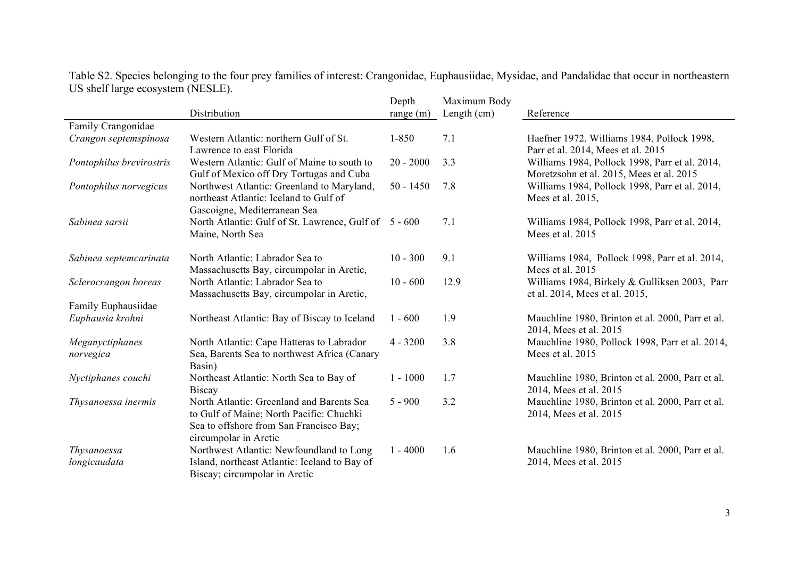|                                    |                                                                                                                                                           | Depth       | Maximum Body |                                                                                            |
|------------------------------------|-----------------------------------------------------------------------------------------------------------------------------------------------------------|-------------|--------------|--------------------------------------------------------------------------------------------|
|                                    | Distribution                                                                                                                                              | range $(m)$ | Length (cm)  | Reference                                                                                  |
| Family Crangonidae                 |                                                                                                                                                           |             |              |                                                                                            |
| Crangon septemspinosa              | Western Atlantic: northern Gulf of St.                                                                                                                    | $1 - 850$   | 7.1          | Haefner 1972, Williams 1984, Pollock 1998,                                                 |
|                                    | Lawrence to east Florida                                                                                                                                  |             |              | Parr et al. 2014, Mees et al. 2015                                                         |
| Pontophilus brevirostris           | Western Atlantic: Gulf of Maine to south to<br>Gulf of Mexico off Dry Tortugas and Cuba                                                                   | $20 - 2000$ | 3.3          | Williams 1984, Pollock 1998, Parr et al. 2014,<br>Moretzsohn et al. 2015, Mees et al. 2015 |
| Pontophilus norvegicus             | Northwest Atlantic: Greenland to Maryland,<br>northeast Atlantic: Iceland to Gulf of<br>Gascoigne, Mediterranean Sea                                      | $50 - 1450$ | 7.8          | Williams 1984, Pollock 1998, Parr et al. 2014,<br>Mees et al. 2015,                        |
| Sabinea sarsii                     | North Atlantic: Gulf of St. Lawrence, Gulf of 5 - 600<br>Maine, North Sea                                                                                 |             | 7.1          | Williams 1984, Pollock 1998, Parr et al. 2014,<br>Mees et al. 2015                         |
| Sabinea septemcarinata             | North Atlantic: Labrador Sea to<br>Massachusetts Bay, circumpolar in Arctic,                                                                              | $10 - 300$  | 9.1          | Williams 1984, Pollock 1998, Parr et al. 2014,<br>Mees et al. 2015                         |
| Sclerocrangon boreas               | North Atlantic: Labrador Sea to<br>Massachusetts Bay, circumpolar in Arctic,                                                                              | $10 - 600$  | 12.9         | Williams 1984, Birkely & Gulliksen 2003, Parr<br>et al. 2014, Mees et al. 2015,            |
| Family Euphausiidae                |                                                                                                                                                           |             |              |                                                                                            |
| Euphausia krohni                   | Northeast Atlantic: Bay of Biscay to Iceland                                                                                                              | $1 - 600$   | 1.9          | Mauchline 1980, Brinton et al. 2000, Parr et al.<br>2014, Mees et al. 2015                 |
| Meganyctiphanes                    | North Atlantic: Cape Hatteras to Labrador                                                                                                                 | $4 - 3200$  | 3.8          | Mauchline 1980, Pollock 1998, Parr et al. 2014,                                            |
| norvegica                          | Sea, Barents Sea to northwest Africa (Canary<br>Basin)                                                                                                    |             |              | Mees et al. 2015                                                                           |
| Nyctiphanes couchi                 | Northeast Atlantic: North Sea to Bay of<br><b>Biscay</b>                                                                                                  | $1 - 1000$  | 1.7          | Mauchline 1980, Brinton et al. 2000, Parr et al.<br>2014, Mees et al. 2015                 |
| Thysanoessa inermis                | North Atlantic: Greenland and Barents Sea<br>to Gulf of Maine; North Pacific: Chuchki<br>Sea to offshore from San Francisco Bay;<br>circumpolar in Arctic | $5 - 900$   | 3.2          | Mauchline 1980, Brinton et al. 2000, Parr et al.<br>2014, Mees et al. 2015                 |
| <i>Thysanoessa</i><br>longicaudata | Northwest Atlantic: Newfoundland to Long<br>Island, northeast Atlantic: Iceland to Bay of<br>Biscay; circumpolar in Arctic                                | $1 - 4000$  | 1.6          | Mauchline 1980, Brinton et al. 2000, Parr et al.<br>2014, Mees et al. 2015                 |

Table S2. Species belonging to the four prey families of interest: Crangonidae, Euphausiidae, Mysidae, and Pandalidae that occur in northeastern US shelf large ecosystem (NESLE).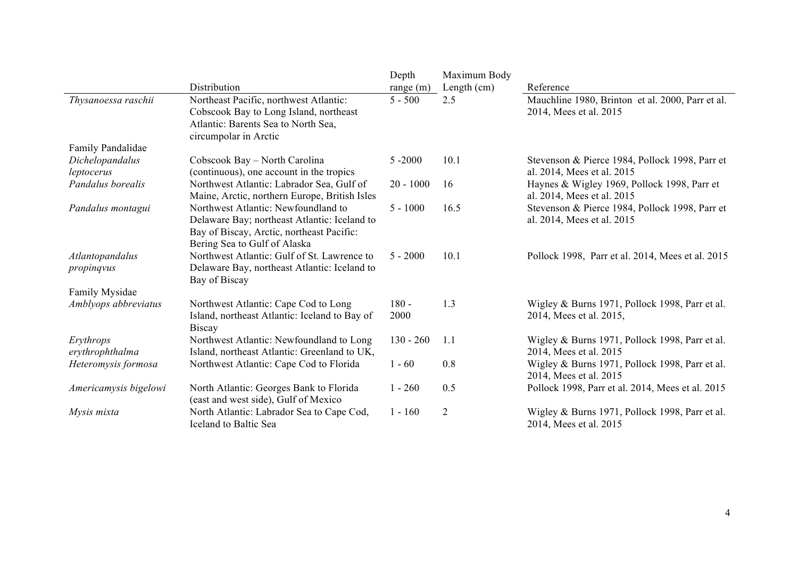|                               |                                                                                                                                                                  | Depth           | Maximum Body   |                                                                              |
|-------------------------------|------------------------------------------------------------------------------------------------------------------------------------------------------------------|-----------------|----------------|------------------------------------------------------------------------------|
|                               | Distribution                                                                                                                                                     | range $(m)$     | Length $(cm)$  | Reference                                                                    |
| Thysanoessa raschii           | Northeast Pacific, northwest Atlantic:<br>Cobscook Bay to Long Island, northeast<br>Atlantic: Barents Sea to North Sea,<br>circumpolar in Arctic                 | $5 - 500$       | 2.5            | Mauchline 1980, Brinton et al. 2000, Parr et al.<br>2014, Mees et al. 2015   |
| Family Pandalidae             |                                                                                                                                                                  |                 |                |                                                                              |
| Dichelopandalus<br>leptocerus | Cobscook Bay - North Carolina<br>(continuous), one account in the tropics                                                                                        | $5 - 2000$      | 10.1           | Stevenson & Pierce 1984, Pollock 1998, Parr et<br>al. 2014, Mees et al. 2015 |
| Pandalus borealis             | Northwest Atlantic: Labrador Sea, Gulf of<br>Maine, Arctic, northern Europe, British Isles                                                                       | $20 - 1000$     | 16             | Haynes & Wigley 1969, Pollock 1998, Parr et<br>al. 2014, Mees et al. 2015    |
| Pandalus montagui             | Northwest Atlantic: Newfoundland to<br>Delaware Bay; northeast Atlantic: Iceland to<br>Bay of Biscay, Arctic, northeast Pacific:<br>Bering Sea to Gulf of Alaska | $5 - 1000$      | 16.5           | Stevenson & Pierce 1984, Pollock 1998, Parr et<br>al. 2014, Mees et al. 2015 |
| Atlantopandalus<br>propingvus | Northwest Atlantic: Gulf of St. Lawrence to<br>Delaware Bay, northeast Atlantic: Iceland to<br>Bay of Biscay                                                     | $5 - 2000$      | 10.1           | Pollock 1998, Parr et al. 2014, Mees et al. 2015                             |
| Family Mysidae                |                                                                                                                                                                  |                 |                |                                                                              |
| Amblyops abbreviatus          | Northwest Atlantic: Cape Cod to Long<br>Island, northeast Atlantic: Iceland to Bay of<br><b>Biscay</b>                                                           | $180 -$<br>2000 | 1.3            | Wigley & Burns 1971, Pollock 1998, Parr et al.<br>2014, Mees et al. 2015,    |
| Erythrops<br>erythrophthalma  | Northwest Atlantic: Newfoundland to Long<br>Island, northeast Atlantic: Greenland to UK,                                                                         | $130 - 260$     | 1.1            | Wigley & Burns 1971, Pollock 1998, Parr et al.<br>2014, Mees et al. 2015     |
| Heteromysis formosa           | Northwest Atlantic: Cape Cod to Florida                                                                                                                          | $1 - 60$        | 0.8            | Wigley & Burns 1971, Pollock 1998, Parr et al.<br>2014, Mees et al. 2015     |
| Americamysis bigelowi         | North Atlantic: Georges Bank to Florida<br>(east and west side), Gulf of Mexico                                                                                  | $1 - 260$       | 0.5            | Pollock 1998, Parr et al. 2014, Mees et al. 2015                             |
| Mysis mixta                   | North Atlantic: Labrador Sea to Cape Cod,<br>Iceland to Baltic Sea                                                                                               | $1 - 160$       | $\overline{2}$ | Wigley & Burns 1971, Pollock 1998, Parr et al.<br>2014, Mees et al. 2015     |